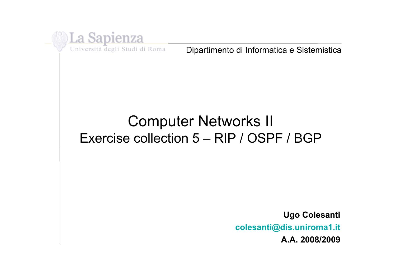

Università degli Studi di Roma

Dipartimento di Informatica e Sistemistica

## Computer Networks II Exercise collection 5 – RIP / OSPF / BGP

**Ugo Colesanti colesanti@dis.uniroma1.it A.A. 2008/2009**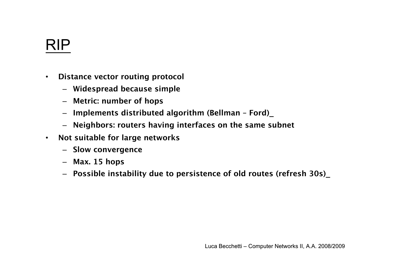# RIP

- **Distance vector routing protocol**
	- **Widespread because simple**
	- **Metric: number of hops**
	- **Implements distributed algorithm (Bellman Ford)\_**
	- **Neighbors: routers having interfaces on the same subnet**
- **Not suitable for large networks**
	- **Slow convergence**
	- **Max. 15 hops**
	- **Possible instability due to persistence of old routes (refresh 30s)\_**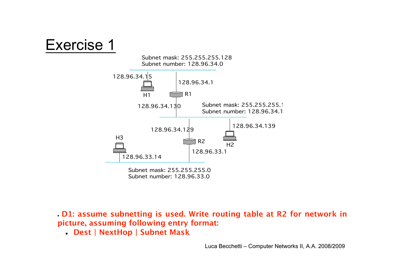



 **D1: assume subnetting is used. Write routing table at R2 for network in picture, assuming following entry format:**

**Dest | NextHop | Subnet Mask**

Luca Becchetti – Computer Networks II, A.A. 2008/2009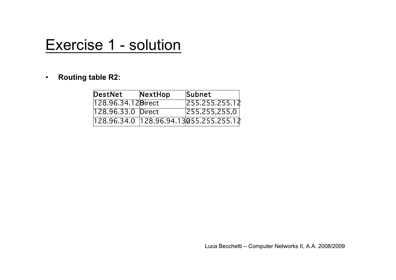## Exercise 1 - solution

#### • **Routing table R2:**

| DestNet             | NextHop | <b>Subnet</b>                          |
|---------------------|---------|----------------------------------------|
| 128.96.34.12 Birect |         | 255.255.255.12                         |
| 128.96.33.0 Direct  |         | $\overline{255.255,255,0}$             |
|                     |         | 128.96.34.0 128.96.94.13055.255.255.12 |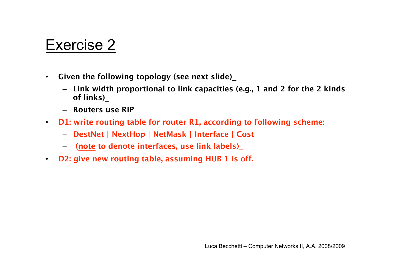- **Given the following topology (see next slide)\_**
	- **Link width proportional to link capacities (e.g., 1 and 2 for the 2 kinds of links)\_**
	- **Routers use RIP**
- **D1: write routing table for router R1, according to following scheme:**
	- **DestNet | NextHop | NetMask | Interface | Cost**
	- – **(note to denote interfaces, use link labels)\_**
- **D2: give new routing table, assuming HUB 1 is off.**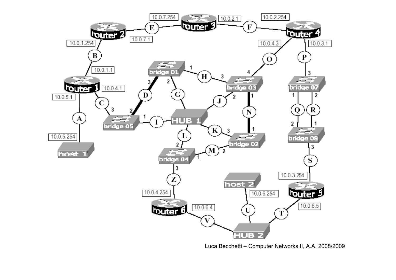

Luca Becchetti – Computer Networks II, A.A. 2008/2009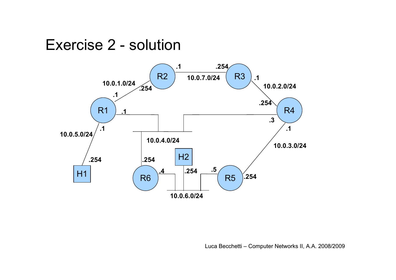#### Exercise 2 - solution

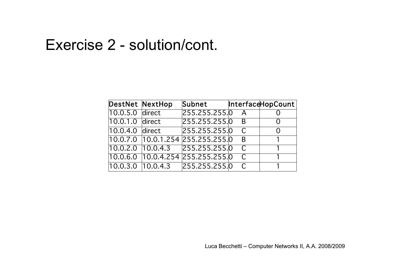#### Exercise 2 - solution/cont.

| <b>DestNet NextHop</b> |                     | Subnet                                              |               | InterfaceHopCount |
|------------------------|---------------------|-----------------------------------------------------|---------------|-------------------|
| 10.0.5.0 direct        |                     | 255.255.255.0 A                                     |               |                   |
| 10.0.1.0 direct        |                     | 255.255.255.0 B                                     |               |                   |
| 10.0.4.0 direct        |                     | 255.255.255.0 C                                     |               |                   |
|                        |                     | 10.0.7.0   10.0.1.254   255.255.255. <mark>0</mark> | - B           | $\overline{1}$    |
|                        | $10.0.2.0$ 10.0.4.3 | 255.255.255.0 C                                     |               |                   |
|                        |                     | 10.0.6.0 10.0.4.254 255.255.255.0                   | $\mathcal{C}$ | $\mathbf{1}$      |
|                        | 10.0.3.0 10.0.4.3   | 255.255.255.0 C                                     |               |                   |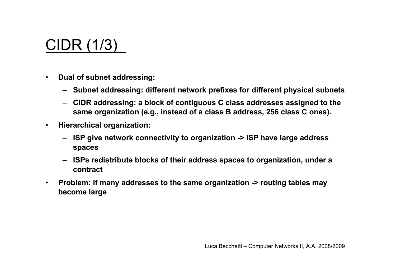# CIDR (1/3)\_

- **Dual of subnet addressing:**
	- **Subnet addressing: different network prefixes for different physical subnets**
	- **CIDR addressing: a block of contiguous C class addresses assigned to the same organization (e.g., instead of a class B address, 256 class C ones).**
- **Hierarchical organization:**
	- **ISP give network connectivity to organization -> ISP have large address spaces**
	- **ISPs redistribute blocks of their address spaces to organization, under a contract**
- **Problem: if many addresses to the same organization -> routing tables may become large**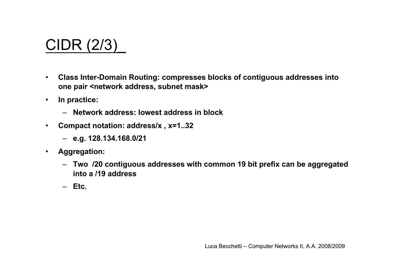# CIDR (2/3)\_

- **Class Inter-Domain Routing: compresses blocks of contiguous addresses into** one pair <network address, subnet mask>
- **In practice:**
	- **Network address: lowest address in block**
- **Compact notation: address/x , x=1..32**
	- **e.g. 128.134.168.0/21**
- **Aggregation:**
	- **Two /20 contiguous addresses with common 19 bit prefix can be aggregated into a /19 address**
	- **Etc.**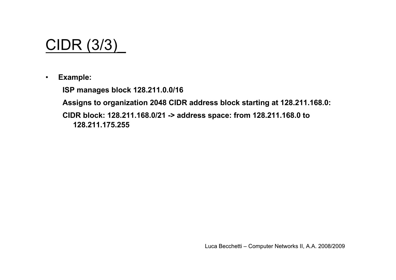

• **Example:**

**ISP manages block 128.211.0.0/16**

**Assigns to organization 2048 CIDR address block starting at 128.211.168.0:**

**CIDR block: 128.211.168.0/21 -> address space: from 128.211.168.0 to 128.211.175.255**

Luca Becchetti – Computer Networks II, A.A. 2008/2009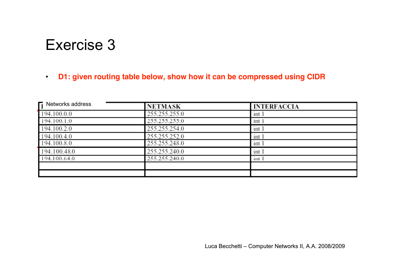#### • **D1: given routing table below, show how it can be compressed using CIDR**

| $\mathsf{\Gamma}$ Networks address | <b>NETMASK</b> | <b>INTERFACCIA</b> |
|------------------------------------|----------------|--------------------|
| 194.100.0.0                        | 255.255.255.0  | int 1              |
| 194.100.1.0                        | 255.255.255.0  | int 1              |
| 194.100.2.0                        | 255.255.254.0  | int 1              |
| 194.100.4.0                        | 255.255.252.0  | int 1              |
| 194.100.8.0                        | 255.255.248.0  | int 1              |
| 194.100.48.0                       | 255.255.240.0  | int 1              |
| 194.100.64.0                       | 255.255.240.0  | int 1              |
|                                    |                |                    |
|                                    |                |                    |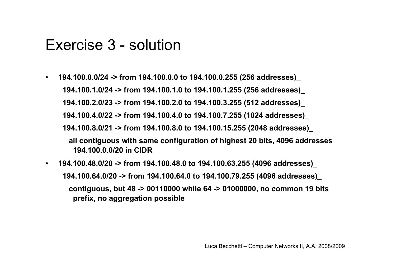#### Exercise 3 - solution

- **194.100.0.0/24 -> from 194.100.0.0 to 194.100.0.255 (256 addresses)\_ 194.100.1.0/24 -> from 194.100.1.0 to 194.100.1.255 (256 addresses)\_ 194.100.2.0/23 -> from 194.100.2.0 to 194.100.3.255 (512 addresses)\_ 194.100.4.0/22 -> from 194.100.4.0 to 194.100.7.255 (1024 addresses)\_ 194.100.8.0/21 -> from 194.100.8.0 to 194.100.15.255 (2048 addresses)\_**
	- **\_ all contiguous with same configuration of highest 20 bits, 4096 addresses \_ 194.100.0.0/20 in CIDR**
- **194.100.48.0/20 -> from 194.100.48.0 to 194.100.63.255 (4096 addresses)\_ 194.100.64.0/20 -> from 194.100.64.0 to 194.100.79.255 (4096 addresses)\_ \_ contiguous, but 48 -> 00110000 while 64 -> 01000000, no common 19 bits prefix, no aggregation possible**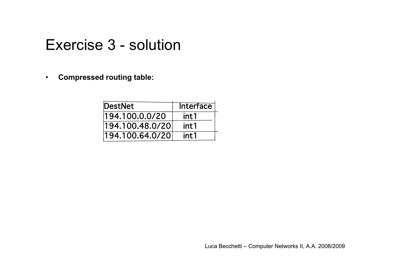#### Exercise 3 - solution

• **Compressed routing table:**

| DestNet         | <b>Interface</b> |
|-----------------|------------------|
| 194.100.0.0/20  | int1             |
| 194.100.48.0/20 | int1             |
| 194.100.64.0/20 | int 1            |

Luca Becchetti – Computer Networks II, A.A. 2008/2009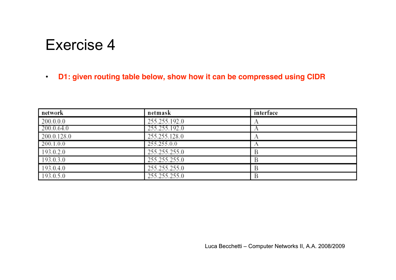#### • **D1: given routing table below, show how it can be compressed using CIDR**

| network     | netmask       | interface |
|-------------|---------------|-----------|
| 200.0.0.0   | 255.255.192.0 |           |
| 200.0.64.0  | 255.255.192.0 |           |
| 200.0.128.0 | 255.255.128.0 |           |
| 200.1.0.0   | 255.255.0.0   |           |
| 193.0.2.0   | 255.255.255.0 |           |
| 193.0.3.0   | 255.255.255.0 |           |
| 193.0.4.0   | 255.255.255.0 |           |
| 193.0.5.0   | 255.255.255.0 |           |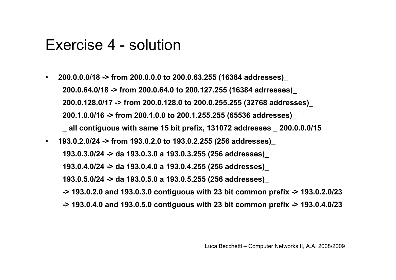#### Exercise 4 - solution

• **200.0.0.0/18 -> from 200.0.0.0 to 200.0.63.255 (16384 addresses)\_ 200.0.64.0/18 -> from 200.0.64.0 to 200.127.255 (16384 adrresses)\_ 200.0.128.0/17 -> from 200.0.128.0 to 200.0.255.255 (32768 addresses)\_ 200.1.0.0/16 -> from 200.1.0.0 to 200.1.255.255 (65536 addresses)\_**

**\_ all contiguous with same 15 bit prefix, 131072 addresses \_ 200.0.0.0/15**

• **193.0.2.0/24 -> from 193.0.2.0 to 193.0.2.255 (256 addresses)\_ 193.0.3.0/24 -> da 193.0.3.0 a 193.0.3.255 (256 addresses)\_ 193.0.4.0/24 -> da 193.0.4.0 a 193.0.4.255 (256 addresses)\_ 193.0.5.0/24 -> da 193.0.5.0 a 193.0.5.255 (256 addresses)\_ -> 193.0.2.0 and 193.0.3.0 contiguous with 23 bit common prefix -> 193.0.2.0/23 -> 193.0.4.0 and 193.0.5.0 contiguous with 23 bit common prefix -> 193.0.4.0/23**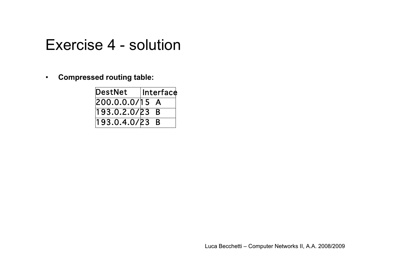#### Exercise 4 - solution

• **Compressed routing table:**

| DestNet        | Interface |
|----------------|-----------|
| 200.0.0.0/15 A |           |
| 193.0.2.0/23 B |           |
| 193.0.4.0/23 B |           |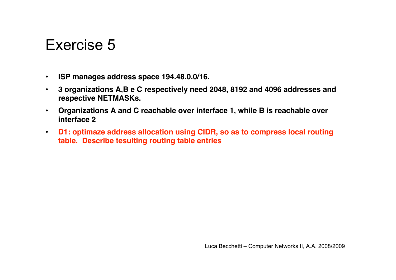- **ISP manages address space 194.48.0.0/16.**
- **3 organizations A,B e C respectively need 2048, 8192 and 4096 addresses and respective NETMASKs.**
- **Organizations A and C reachable over interface 1, while B is reachable over interface 2**
- **D1: optimaze address allocation using CIDR, so as to compress local routing table. Describe tesulting routing table entries**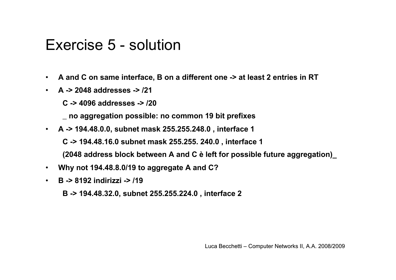#### Exercise 5 - solution

- **A and C on same interface, B on a different one -> at least 2 entries in RT**
- **A -> 2048 addresses -> /21**
	- **C -> 4096 addresses -> /20**
	- **\_ no aggregation possible: no common 19 bit prefixes**
- **A -> 194.48.0.0, subnet mask 255.255.248.0 , interface 1**
	- **C -> 194.48.16.0 subnet mask 255.255. 240.0 , interface 1**
	- **(2048 address block between A and C è left for possible future aggregation)\_**
- **Why not 194.48.8.0/19 to aggregate A and C?**
- **B -> 8192 indirizzi -> /19**
	- **B -> 194.48.32.0, subnet 255.255.224.0 , interface 2**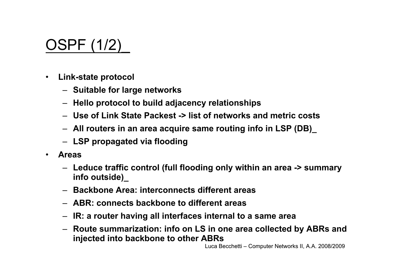# OSPF (1/2)\_

- **Link-state protocol**
	- **Suitable for large networks**
	- **Hello protocol to build adjacency relationships**
	- **Use of Link State Packest -> list of networks and metric costs**
	- **All routers in an area acquire same routing info in LSP (DB)\_**
	- **LSP propagated via flooding**
- **Areas**
	- **Leduce traffic control (full flooding only within an area -> summary info outside)\_**
	- **Backbone Area: interconnects different areas**
	- **ABR: connects backbone to different areas**
	- **IR: a router having all interfaces internal to a same area**
	- **Route summarization: info on LS in one area collected by ABRs and injected into backbone to other ABRs**

Luca Becchetti – Computer Networks II, A.A. 2008/2009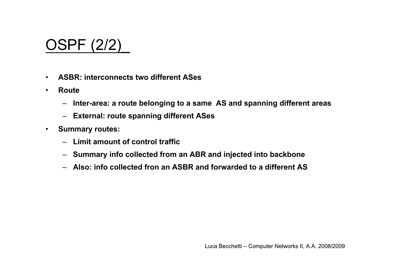# OSPF (2/2)\_

- **ASBR: interconnects two different ASes**
- **Route**
	- **Inter-area: a route belonging to a same AS and spanning different areas**
	- **External: route spanning different ASes**
- **Summary routes:**
	- **Limit amount of control traffic**
	- **Summary info collected from an ABR and injected into backbone**
	- **Also: info collected fron an ASBR and forwarded to a different AS**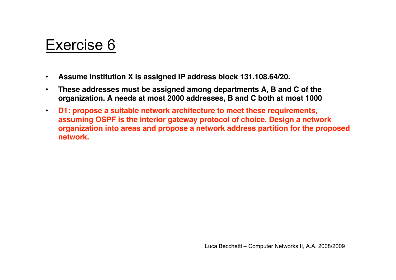- **Assume institution X is assigned IP address block 131.108.64/20.**
- **These addresses must be assigned among departments A, B and C of the organization. A needs at most 2000 addresses, B and C both at most 1000**
- **D1: propose a suitable network architecture to meet these requirements, assuming OSPF is the interior gateway protocol of choice. Design a network organization into areas and propose a network address partition for the proposed network.**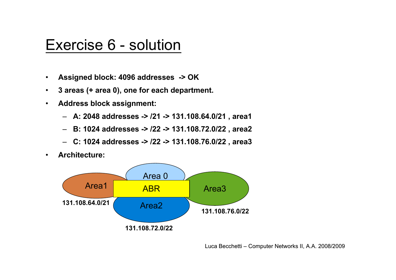#### Exercise 6 - solution

- **Assigned block: 4096 addresses -> OK**
- **3 areas (+ area 0), one for each department.**
- **Address block assignment:**
	- **A: 2048 addresses -> /21 -> 131.108.64.0/21 , area1**
	- **B: 1024 addresses -> /22 -> 131.108.72.0/22 , area2**
	- **C: 1024 addresses -> /22 -> 131.108.76.0/22 , area3**
- **Architecture:**



Luca Becchetti – Computer Networks II, A.A. 2008/2009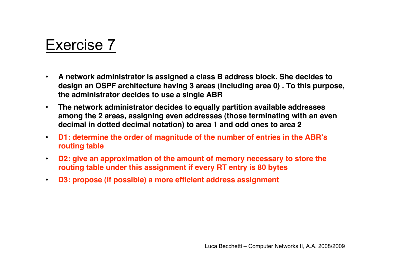- **A network administrator is assigned a class B address block. She decides to design an OSPF architecture having 3 areas (including area 0) . To this purpose, the administrator decides to use a single ABR**
- **The network administrator decides to equally partition available addresses among the 2 areas, assigning even addresses (those terminating with an even decimal in dotted decimal notation) to area 1 and odd ones to area 2**
- **D1: determine the order of magnitude of the number of entries in the ABR's routing table**
- **D2: give an approximation of the amount of memory necessary to store the routing table under this assignment if every RT entry is 80 bytes**
- **D3: propose (if possible) a more efficient address assignment**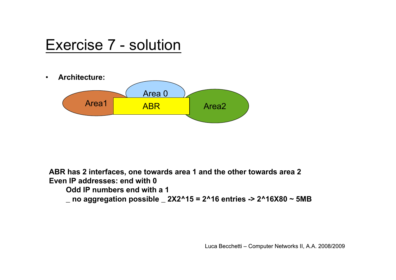## Exercise 7 - solution

• **Architecture:** Area1 ABR Area2 Area 0 ABR

**ABR has 2 interfaces, one towards area 1 and the other towards area 2 Even IP addresses: end with 0**

**Odd IP numbers end with a 1**

**\_ no aggregation possible \_ 2X2^15 = 2^16 entries -> 2^16X80 ~ 5MB**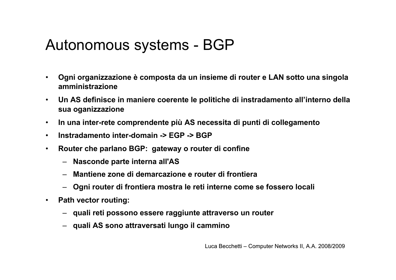## Autonomous systems - BGP

- **Ogni organizzazione è composta da un insieme di router e LAN sotto una singola amministrazione**
- **Un AS definisce in maniere coerente le politiche di instradamento all'interno della sua oganizzazione**
- **In una inter-rete comprendente più AS necessita di punti di collegamento**
- **Instradamento inter-domain -> EGP -> BGP**
- **Router che parlano BGP: gateway o router di confine**
	- **Nasconde parte interna all'AS**
	- **Mantiene zone di demarcazione e router di frontiera**
	- **Ogni router di frontiera mostra le reti interne come se fossero locali**
- **Path vector routing:**
	- **quali reti possono essere raggiunte attraverso un router**
	- **quali AS sono attraversati lungo il cammino**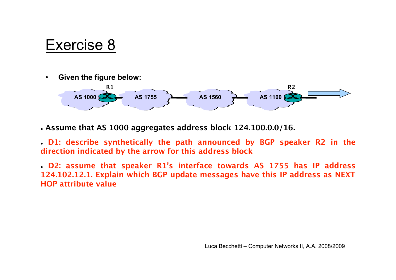• **Given the figure below:**



 **Assume that AS 1000 aggregates address block 124.100.0.0/16.**

 **D1: describe synthetically the path announced by BGP speaker R2 in the direction indicated by the arrow for this address block**

 **D2: assume that speaker R1's interface towards AS 1755 has IP address 124.102.12.1. Explain which BGP update messages have this IP address as NEXT HOP attribute value**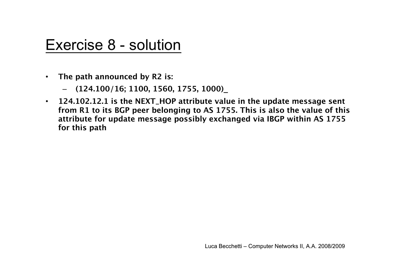#### Exercise 8 - solution

- **The path announced by R2 is:**
	- – **(124.100/16; 1100, 1560, 1755, 1000)\_**
- **124.102.12.1 is the NEXT\_HOP attribute value in the update message sent from R1 to its BGP peer belonging to AS 1755. This is also the value of this attribute for update message possibly exchanged via IBGP within AS 1755 for this path**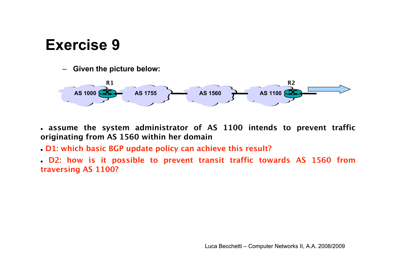– **Given the picture below:**



- **assume the system administrator of AS 1100 intends to prevent traffic originating from AS 1560 within her domain**
- **D1: which basic BGP update policy can achieve this result?**
- **D2: how is it possible to prevent transit traffic towards AS 1560 from traversing AS 1100?**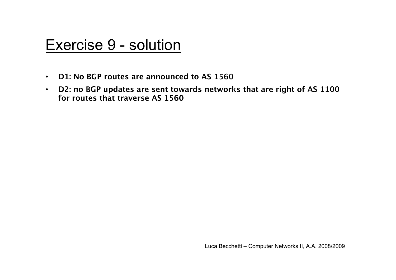#### Exercise 9 - solution

- **D1: No BGP routes are announced to AS 1560**
- **D2: no BGP updates are sent towards networks that are right of AS 1100 for routes that traverse AS 1560**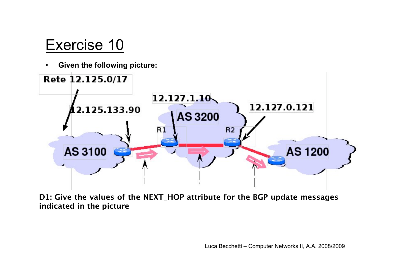• **Given the following picture:**



**D1: Give the values of the NEXT\_HOP attribute for the BGP update messages indicated in the picture**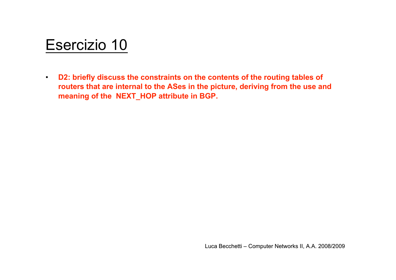## Esercizio 10

• **D2: briefly discuss the constraints on the contents of the routing tables of routers that are internal to the ASes in the picture, deriving from the use and meaning of the NEXT\_HOP attribute in BGP.**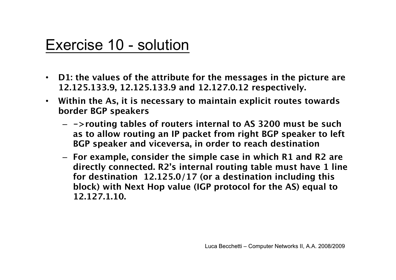### Exercise 10 - solution

- **D1: the values of the attribute for the messages in the picture are 12.125.133.9, 12.125.133.9 and 12.127.0.12 respectively.**
- **Within the As, it is necessary to maintain explicit routes towards border BGP speakers**
	- **->routing tables of routers internal to AS 3200 must be such as to allow routing an IP packet from right BGP speaker to left BGP speaker and viceversa, in order to reach destination**
	- **For example, consider the simple case in which R1 and R2 are directly connected. R2's internal routing table must have 1 line for destination 12.125.0/17 (or a destination including this block) with Next Hop value (IGP protocol for the AS) equal to 12.127.1.10.**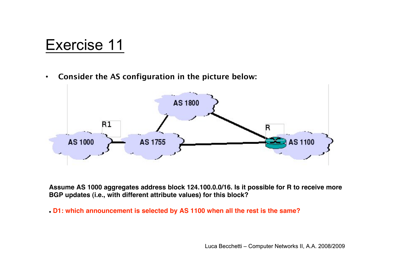• **Consider the AS configuration in the picture below:**



**Assume AS 1000 aggregates address block 124.100.0.0/16. Is it possible for R to receive more BGP updates (i.e., with different attribute values) for this block?**

**D1: which announcement is selected by AS 1100 when all the rest is the same?**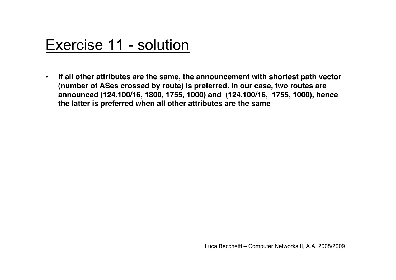## Exercise 11 - solution

• **If all other attributes are the same, the announcement with shortest path vector (number of ASes crossed by route) is preferred. In our case, two routes are announced (124.100/16, 1800, 1755, 1000) and (124.100/16, 1755, 1000), hence the latter is preferred when all other attributes are the same**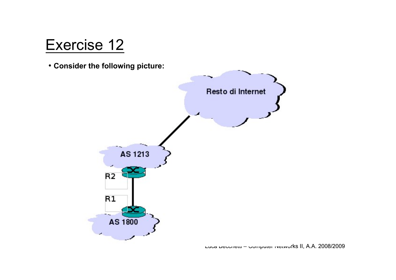• **Consider the following picture:**



Luca Becchetti – Computer Networks II, A.A. 2008/2009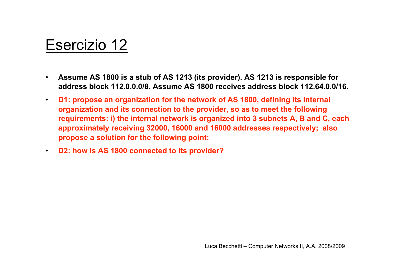## Esercizio 12

- **Assume AS 1800 is a stub of AS 1213 (its provider). AS 1213 is responsible for address block 112.0.0.0/8. Assume AS 1800 receives address block 112.64.0.0/16.**
- **D1: propose an organization for the network of AS 1800, defining its internal organization and its connection to the provider, so as to meet the following requirements: i) the internal network is organized into 3 subnets A, B and C, each approximately receiving 32000, 16000 and 16000 addresses respectively; also propose a solution for the following point:**
- **D2: how is AS 1800 connected to its provider?**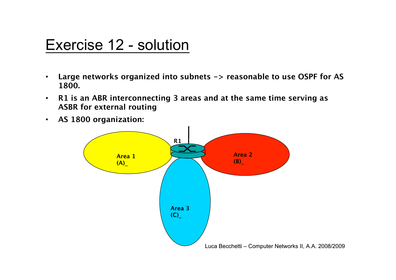#### Exercise 12 - solution

- **Large networks organized into subnets -> reasonable to use OSPF for AS 1800.**
- **R1 is an ABR interconnecting 3 areas and at the same time serving as ASBR for external routing**
- **AS 1800 organization:**